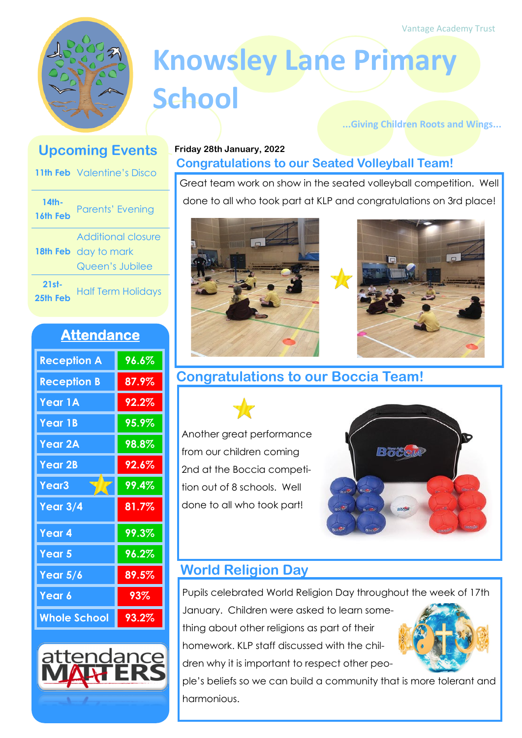

# **Knowsley Lane Primary School**

#### **...Giving Children Roots and Wings...**

## **Upcoming Events**

|                     | <b>11th Feb</b> Valentine's Disco                             |
|---------------------|---------------------------------------------------------------|
| 14th-<br>16th Feb   | <b>Parents' Evening</b>                                       |
|                     | Additional closure<br>18th Feb day to mark<br>Queen's Jubilee |
| $21st-$<br>25th Feb | <b>Half Term Holidays</b>                                     |

### **Attendance**

| <b>Reception A</b>  | 96.6%    |
|---------------------|----------|
| <b>Reception B</b>  | 87.9%    |
| Year 1A             | 92.2%    |
| <b>Year 1B</b>      | $95.9\%$ |
| <b>Year 2A</b>      | $98.8\%$ |
| <b>Year 2B</b>      | 92.6%    |
| Year <sub>3</sub>   | 99.4%    |
| Year $3/4$          | 81.7%    |
| Year <sub>4</sub>   | 99.3%    |
| Year 5              | 96.2%    |
| Year $5/6$          | 89.5%    |
| Year 6              | 93%      |
| <b>Whole School</b> | 93.2%    |



#### **Friday 28th January, 2022 Congratulations to our Seated Volleyball Team!**

Great team work on show in the seated volleyball competition. Well done to all who took part at KLP and congratulations on 3rd place!





**Congratulations to our Boccia Team!**

Another great performance from our children coming 2nd at the Boccia competition out of 8 schools. Well done to all who took part!



# **World Religion Day**

Pupils celebrated World Religion Day throughout the week of 17th

January. Children were asked to learn something about other religions as part of their homework. KLP staff discussed with the chil-

dren why it is important to respect other peo-



ple's beliefs so we can build a community that is more tolerant and harmonious.